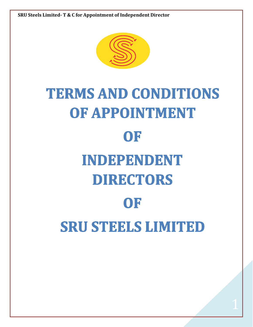

# **TERMS AND CONDITIONS** OF APPOINTMENT OF INDEPENDENT **DIRECTORS** OF **SRU STEELS LIMITED**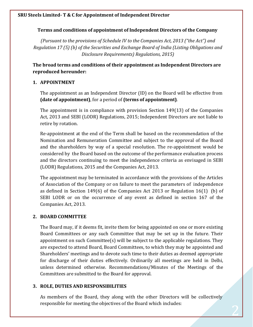# **Terms and conditions of appointment of Independent Directors of the Company**

*(Pursuant to the provisions of Schedule IV to the Companies Act, 2013 ("the Act") and Regulation 17 (5) (b) of the Securities and Exchange Board of India (Listing Obligations and Disclosure Requirements) Regulations, 2015)*

**The broad terms and conditions of their appointment as Independent Directors are reproduced hereunder:**

# **1. APPOINTMENT**

The appointment as an Independent Director (ID) on the Board will be effective from **(date of appointment)**, for a period of **(terms of appointment)**.

The appointment is in compliance with provision Section 149(13) of the Companies Act, 2013 and SEBI (LODR) Regulations, 2015; Independent Directors are not liable to retire by rotation.

Re-appointment at the end of the Term shall be based on the recommendation of the Nomination and Remuneration Committee and subject to the approval of the Board and the shareholders by way of a special resolution. The re-appointment would be considered by the Board based on the outcome of the performance evaluation process and the directors continuing to meet the independence criteria as envisaged in SEBI (LODR) Regulations, 2015 and the Companies Act, 2013.

The appointment may be terminated in accordance with the provisions of the Articles of Association of the Company or on failure to meet the parameters of independence as defined in Section 149(6) of the Companies Act 2013 or Regulation 16(1) (b) of SEBI LODR or on the occurrence of any event as defined in section 167 of the Companies Act, 2013.

# **2. BOARD COMMITTEE**

The Board may, if it deems fit, invite them for being appointed on one or more existing Board Committees or any such Committee that may be set up in the future. Their appointment on such Committee(s) will be subject to the applicable regulations. They are expected to attend Board, Board Committees, to which they may be appointed and Shareholders' meetings and to devote such time to their duties as deemed appropriate for discharge of their duties effectively. Ordinarily all meetings are held in Delhi, unless determined otherwise. Recommendations/Minutes of the Meetings of the Committees are submitted to the Board for approval.

# **3. ROLE, DUTIES AND RESPONSIBILITIES**

As members of the Board, they along with the other Directors will be collectively responsible for meeting the objectives of the Board which includes: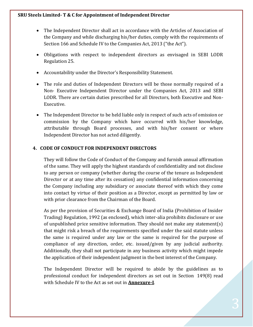- The Independent Director shall act in accordance with the Articles of Association of the Company and while discharging his/her duties, comply with the requirements of Section 166 and Schedule IV to the Companies Act, 2013 ("the Act").
- Obligations with respect to independent directors as envisaged in SEBI LODR Regulation 25.
- Accountability under the Director's Responsibility Statement.
- The role and duties of Independent Directors will be those normally required of a Non- Executive Independent Director under the Companies Act, 2013 and SEBI LODR. There are certain duties prescribed for all Directors, both Executive and Non-Executive.
- The Independent Director to be held liable only in respect of such acts of omission or commission by the Company which have occurred with his/her knowledge, attributable through Board processes, and with his/her consent or where Independent Director has not acted diligently.

# **4. CODE OF CONDUCT FOR INDEPENDENT DIRECTORS**

They will follow the Code of Conduct of the Company and furnish annual affirmation of the same. They will apply the highest standards of confidentiality and not disclose to any person or company (whether during the course of the tenure as Independent Director or at any time after its cessation) any confidential information concerning the Company including any subsidiary or associate thereof with which they come into contact by virtue of their position as a Director, except as permitted by law or with prior clearance from the Chairman of the Board.

As per the provision of Securities & Exchange Board of India (Prohibition of Insider Trading) Regulation, 1992 (as enclosed), which inter-alia prohibits disclosure or use of unpublished price sensitive information. They should not make any statement(s) that might risk a breach of the requirements specified under the said statute unless the same is required under any law or the same is required for the purpose of compliance of any direction, order, etc. issued/given by any judicial authority. Additionally, they shall not participate in any business activity which might impede the application of their independent judgment in the best interest of the Company.

The Independent Director will be required to abide by the guidelines as to professional conduct for independent directors as set out in Section 149(8) read with Schedule IV to the Act as set out in **Annexure-I**.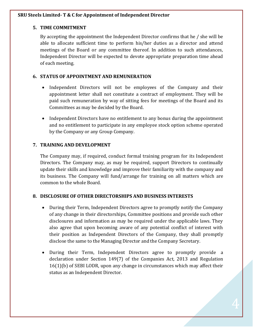# **5. TIME COMMITMENT**

By accepting the appointment the Independent Director confirms that he / she will be able to allocate sufficient time to perform his/her duties as a director and attend meetings of the Board or any committee thereof. In addition to such attendances, Independent Director will be expected to devote appropriate preparation time ahead of each meeting.

# **6. STATUS OF APPOINTMENT AND REMUNERATION**

- Independent Directors will not be employees of the Company and their appointment letter shall not constitute a contract of employment. They will be paid such remuneration by way of sitting fees for meetings of the Board and its Committees as may be decided by the Board.
- Independent Directors have no entitlement to any bonus during the appointment and no entitlement to participate in any employee stock option scheme operated by the Company or any Group Company.

# **7. TRAINING AND DEVELOPMENT**

The Company may, if required, conduct formal training program for its Independent Directors. The Company may, as may be required, support Directors to continually update their skills and knowledge and improve their familiarity with the company and its business. The Company will fund/arrange for training on all matters which are common to the whole Board.

# **8. DISCLOSURE OF OTHER DIRECTORSHIPS AND BUSINESS INTERESTS**

- During their Term, Independent Directors agree to promptly notify the Company of any change in their directorships, Committee positions and provide such other disclosures and information as may be required under the applicable laws. They also agree that upon becoming aware of any potential conflict of interest with their position as Independent Directors of the Company, they shall promptly disclose the same to the Managing Director and the Company Secretary.
- During their Term, Independent Directors agree to promptly provide a declaration under Section 149(7) of the Companies Act, 2013 and Regulation 16(1)(b) of SEBI LODR, upon any change in circumstances which may affect their status as an Independent Director.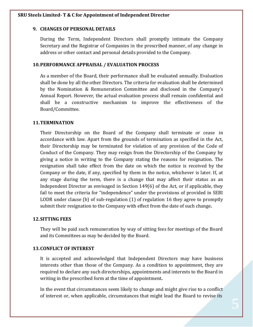#### **9. CHANGES OF PERSONAL DETAILS**

During the Term, Independent Directors shall promptly intimate the Company Secretary and the Registrar of Companies in the prescribed manner, of any change in address or other contact and personal details provided to the Company.

#### **10.PERFORMANCE APPRAISAL / EVALUATION PROCESS**

As a member of the Board, their performance shall be evaluated annually. Evaluation shall be done by all the other Directors. The criteria for evaluation shall be determined by the Nomination & Remuneration Committee and disclosed in the Company's Annual Report. However, the actual evaluation process shall remain confidential and shall be a constructive mechanism to improve the effectiveness of the Board/Committee.

# **11.TERMINATION**

Their Directorship on the Board of the Company shall terminate or cease in accordance with law. Apart from the grounds of termination as specified in the Act, their Directorship may be terminated for violation of any provision of the Code of Conduct of the Company. They may resign from the Directorship of the Company by giving a notice in writing to the Company stating the reasons for resignation. The resignation shall take effect from the date on which the notice is received by the Company or the date, if any, specified by them in the notice, whichever is later. If, at any stage during the term, there is a change that may affect their status as an Independent Director as envisaged in Section 149(6) of the Act, or if applicable, they fail to meet the criteria for "independence" under the provisions of provided in SEBI LODR under clause (b) of sub-regulation (1) of regulation 16 they agree to promptly submit their resignation to the Company with effect from the date of such change**.**

#### **12.SITTING FEES**

They will be paid such remuneration by way of sitting fees for meetings of the Board and its Committees as may be decided by the Board.

#### **13.CONFLICT OF INTEREST**

It is accepted and acknowledged that Independent Directors may have business interests other than those of the Company. As a condition to appointment, they are required to declare any such directorships, appointments and interests to the Board in writing in the prescribed form at the time of appointment**.**

In the event that circumstances seem likely to change and might give rise to a conflict of interest or, when applicable, circumstances that might lead the Board to revise its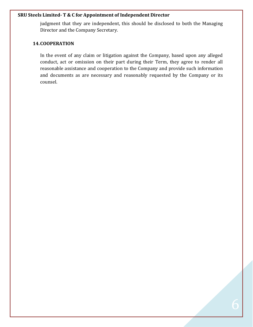judgment that they are independent, this should be disclosed to both the Managing Director and the Company Secretary.

#### **14.COOPERATION**

In the event of any claim or litigation against the Company, based upon any alleged conduct, act or omission on their part during their Term, they agree to render all reasonable assistance and cooperation to the Company and provide such information and documents as are necessary and reasonably requested by the Company or its counsel.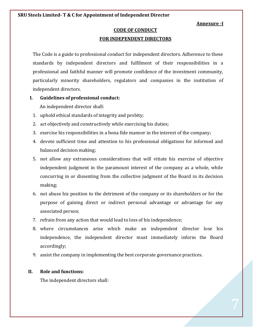#### **Annexure -I**

# **CODE OF CONDUCT**

#### **FOR INDEPENDENT DIRECTORS**

The Code is a guide to professional conduct for independent directors. Adherence to these standards by independent directors and fulfilment of their responsibilities in a professional and faithful manner will promote confidence of the investment community, particularly minority shareholders, regulators and companies in the institution of independent directors.

- **I. Guidelines of professional conduct:** An independent director shall:
	- 1. uphold ethical standards of integrity and probity;
	- 2. act objectively and constructively while exercising his duties;
	- 3. exercise his responsibilities in a bona fide manner in the interest of the company;
	- 4. devote sufficient time and attention to his professional obligations for informed and balanced decision making;
	- 5. not allow any extraneous considerations that will vitiate his exercise of objective independent judgment in the paramount interest of the company as a whole, while concurring in or dissenting from the collective judgment of the Board in its decision making;
	- 6. not abuse his position to the detriment of the company or its shareholders or for the purpose of gaining direct or indirect personal advantage or advantage for any associated person;
	- 7. refrain from any action that would lead to loss of his independence;
	- 8. where circumstances arise which make an independent director lose his independence, the independent director must immediately inform the Board accordingly;
	- 9. assist the company in implementing the best corporate governance practices.

#### **II. Role and functions:**

The independent directors shall: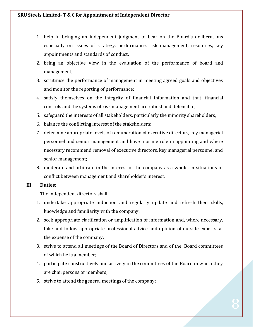- 1. help in bringing an independent judgment to bear on the Board's deliberations especially on issues of strategy, performance, risk management, resources, key appointments and standards of conduct;
- 2. bring an objective view in the evaluation of the performance of board and management;
- 3. scrutinise the performance of management in meeting agreed goals and objectives and monitor the reporting of performance;
- 4. satisfy themselves on the integrity of financial information and that financial controls and the systems of risk management are robust and defensible;
- 5. safeguard the interests of all stakeholders, particularly the minority shareholders;
- 6. balance the conflicting interest of the stakeholders;
- 7. determine appropriate levels of remuneration of executive directors, key managerial personnel and senior management and have a prime role in appointing and where necessary recommend removal of executive directors, key managerial personnel and senior management;
- 8. moderate and arbitrate in the interest of the company as a whole, in situations of conflict between management and shareholder's interest.

#### **III. Duties:**

The independent directors shall-

- 1. undertake appropriate induction and regularly update and refresh their skills, knowledge and familiarity with the company;
- 2. seek appropriate clarification or amplification of information and, where necessary, take and follow appropriate professional advice and opinion of outside experts at the expense of the company;
- 3. strive to attend all meetings of the Board of Directors and of the Board committees of which he is a member;
- 4. participate constructively and actively in the committees of the Board in which they are chairpersons or members;
- 5. strive to attend the general meetings of the company;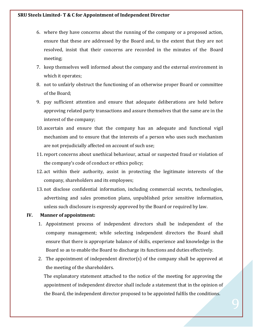- 6. where they have concerns about the running of the company or a proposed action, ensure that these are addressed by the Board and, to the extent that they are not resolved, insist that their concerns are recorded in the minutes of the Board meeting;
- 7. keep themselves well informed about the company and the external environment in which it operates;
- 8. not to unfairly obstruct the functioning of an otherwise proper Board or committee of the Board;
- 9. pay sufficient attention and ensure that adequate deliberations are held before approving related party transactions and assure themselves that the same are in the interest of the company;
- 10. ascertain and ensure that the company has an adequate and functional vigil mechanism and to ensure that the interests of a person who uses such mechanism are not prejudicially affected on account of such use;
- 11. report concerns about unethical behaviour, actual or suspected fraud or violation of the company's code of conduct or ethics policy;
- 12. act within their authority, assist in protecting the legitimate interests of the company, shareholders and its employees;
- 13. not disclose confidential information, including commercial secrets, technologies, advertising and sales promotion plans, unpublished price sensitive information, unless such disclosure is expressly approved by the Board or required by law.

#### **IV. Manner of appointment:**

- 1. Appointment process of independent directors shall be independent of the company management; while selecting independent directors the Board shall ensure that there is appropriate balance of skills, experience and knowledge in the Board so as to enable the Board to discharge its functions and duties effectively.
- 2. The appointment of independent director(s) of the company shall be approved at the meeting of the shareholders.

The explanatory statement attached to the notice of the meeting for approving the appointment of independent director shall include a statement that in the opinion of the Board, the independent director proposed to be appointed fulfils the conditions.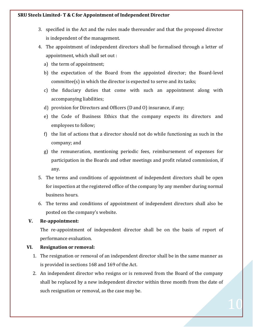- 3. specified in the Act and the rules made thereunder and that the proposed director is independent of the management.
- 4. The appointment of independent directors shall be formalised through a letter of appointment, which shall set out :
	- a) the term of appointment;
	- b) the expectation of the Board from the appointed director; the Board-level committee(s) in which the director is expected to serve and its tasks;
	- c) the fiduciary duties that come with such an appointment along with accompanying liabilities;
	- d) provision for Directors and Officers (D and O) insurance, if any;
	- e) the Code of Business Ethics that the company expects its directors and employees to follow;
	- f) the list of actions that a director should not do while functioning as such in the company; and
	- g) the remuneration, mentioning periodic fees, reimbursement of expenses for participation in the Boards and other meetings and profit related commission, if any.
- 5. The terms and conditions of appointment of independent directors shall be open for inspection at the registered office of the company by any member during normal business hours.
- 6. The terms and conditions of appointment of independent directors shall also be posted on the company's website.

#### **V. Re-appointment:**

The re-appointment of independent director shall be on the basis of report of performance evaluation.

# **VI. Resignation or removal:**

- 1. The resignation or removal of an independent director shall be in the same manner as is provided in sections 168 and 169 of the Act.
- 2. An independent director who resigns or is removed from the Board of the company shall be replaced by a new independent director within three month from the date of such resignation or removal, as the case may be.